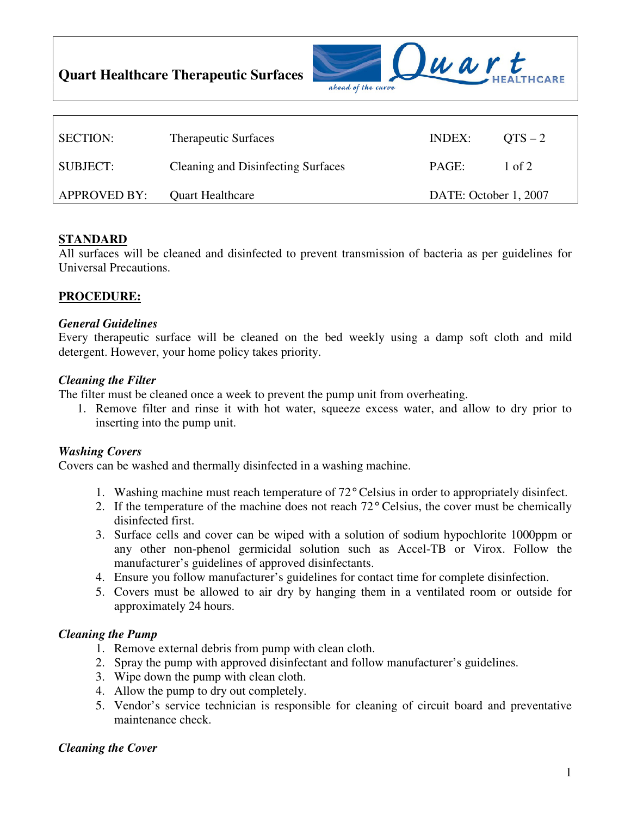**Quart Healthcare Therapeutic Surfaces** 



| <b>SECTION:</b>     | <b>Therapeutic Surfaces</b>               | INDEX:                | $OTS - 2$ |
|---------------------|-------------------------------------------|-----------------------|-----------|
| SUBJECT:            | <b>Cleaning and Disinfecting Surfaces</b> | PAGE:                 | 1 of 2    |
| <b>APPROVED BY:</b> | <b>Quart Healthcare</b>                   | DATE: October 1, 2007 |           |

# **STANDARD**

All surfaces will be cleaned and disinfected to prevent transmission of bacteria as per guidelines for Universal Precautions.

# **PROCEDURE:**

#### *General Guidelines*

Every therapeutic surface will be cleaned on the bed weekly using a damp soft cloth and mild detergent. However, your home policy takes priority.

#### *Cleaning the Filter*

The filter must be cleaned once a week to prevent the pump unit from overheating.

1. Remove filter and rinse it with hot water, squeeze excess water, and allow to dry prior to inserting into the pump unit.

## *Washing Covers*

Covers can be washed and thermally disinfected in a washing machine.

- 1. Washing machine must reach temperature of 72° Celsius in order to appropriately disinfect.
- 2. If the temperature of the machine does not reach 72° Celsius, the cover must be chemically disinfected first.
- 3. Surface cells and cover can be wiped with a solution of sodium hypochlorite 1000ppm or any other non-phenol germicidal solution such as Accel-TB or Virox. Follow the manufacturer's guidelines of approved disinfectants.
- 4. Ensure you follow manufacturer's guidelines for contact time for complete disinfection.
- 5. Covers must be allowed to air dry by hanging them in a ventilated room or outside for approximately 24 hours.

## *Cleaning the Pump*

- 1. Remove external debris from pump with clean cloth.
- 2. Spray the pump with approved disinfectant and follow manufacturer's guidelines.
- 3. Wipe down the pump with clean cloth.
- 4. Allow the pump to dry out completely.
- 5. Vendor's service technician is responsible for cleaning of circuit board and preventative maintenance check.

## *Cleaning the Cover*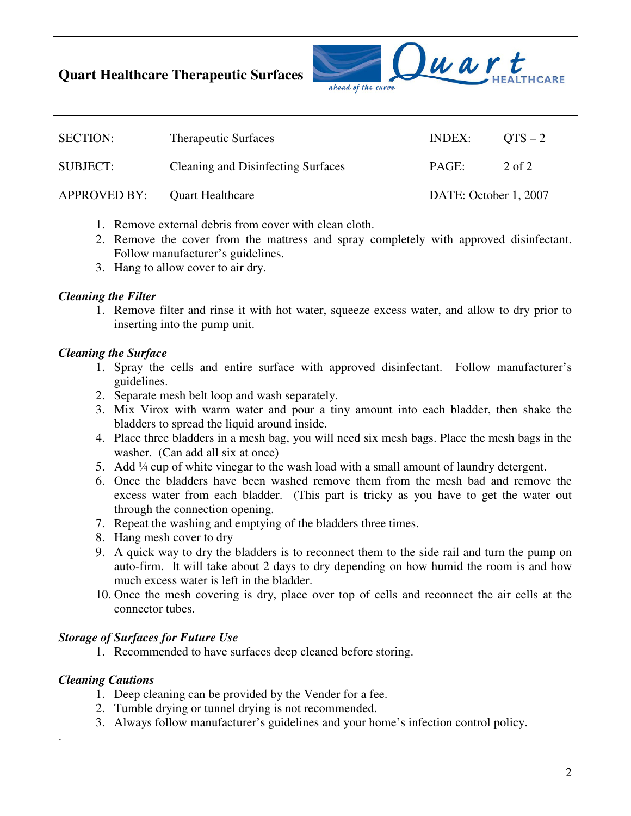**Quart Healthcare Therapeutic Surfaces** 



| <b>SECTION:</b> | <b>Therapeutic Surfaces</b>               | INDEX:                | $OTS - 2$ |
|-----------------|-------------------------------------------|-----------------------|-----------|
| SUBJECT:-       | <b>Cleaning and Disinfecting Surfaces</b> | PAGE:                 | 2 of 2    |
| APPROVED BY:    | <b>Quart Healthcare</b>                   | DATE: October 1, 2007 |           |

- 1. Remove external debris from cover with clean cloth.
- 2. Remove the cover from the mattress and spray completely with approved disinfectant. Follow manufacturer's guidelines.
- 3. Hang to allow cover to air dry.

#### *Cleaning the Filter*

1. Remove filter and rinse it with hot water, squeeze excess water, and allow to dry prior to inserting into the pump unit.

## *Cleaning the Surface*

- 1. Spray the cells and entire surface with approved disinfectant. Follow manufacturer's guidelines.
- 2. Separate mesh belt loop and wash separately.
- 3. Mix Virox with warm water and pour a tiny amount into each bladder, then shake the bladders to spread the liquid around inside.
- 4. Place three bladders in a mesh bag, you will need six mesh bags. Place the mesh bags in the washer. (Can add all six at once)
- 5. Add ¼ cup of white vinegar to the wash load with a small amount of laundry detergent.
- 6. Once the bladders have been washed remove them from the mesh bad and remove the excess water from each bladder. (This part is tricky as you have to get the water out through the connection opening.
- 7. Repeat the washing and emptying of the bladders three times.
- 8. Hang mesh cover to dry
- 9. A quick way to dry the bladders is to reconnect them to the side rail and turn the pump on auto-firm. It will take about 2 days to dry depending on how humid the room is and how much excess water is left in the bladder.
- 10. Once the mesh covering is dry, place over top of cells and reconnect the air cells at the connector tubes.

#### *Storage of Surfaces for Future Use*

1. Recommended to have surfaces deep cleaned before storing.

# *Cleaning Cautions*

.

- 1. Deep cleaning can be provided by the Vender for a fee.
- 2. Tumble drying or tunnel drying is not recommended.
- 3. Always follow manufacturer's guidelines and your home's infection control policy.